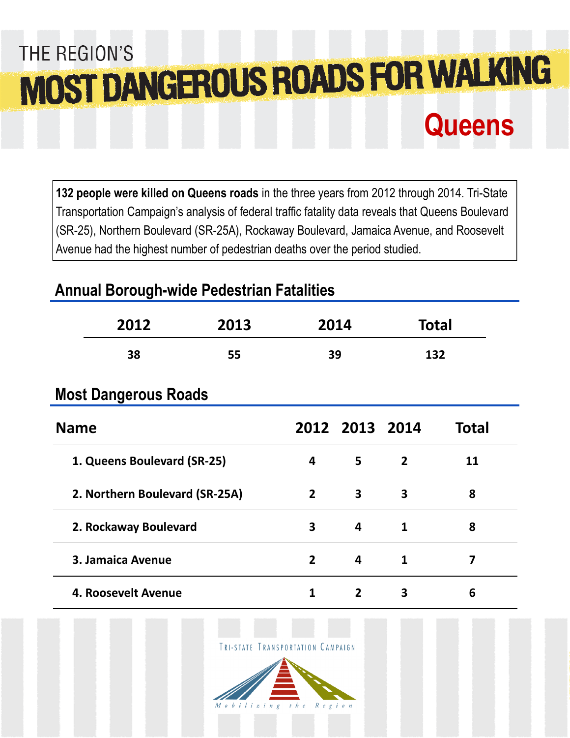# THE REGION'S MOST DANGEROUS ROADS FOR WALKING **Queens**

**132 people were killed on Queens roads** in the three years from 2012 through 2014. Tri-State Transportation Campaign's analysis of federal traffic fatality data reveals that Queens Boulevard (SR-25), Northern Boulevard (SR-25A), Rockaway Boulevard, Jamaica Avenue, and Roosevelt Avenue had the highest number of pedestrian deaths over the period studied.

## **Annual Borough-wide Pedestrian Fatalities**

|                                | 2012<br>2013 |                | 2014                    |                | <b>Total</b>   |              |
|--------------------------------|--------------|----------------|-------------------------|----------------|----------------|--------------|
|                                | 38           | 55             | 39                      |                | 132            |              |
| <b>Most Dangerous Roads</b>    |              |                |                         |                |                |              |
| <b>Name</b>                    |              |                |                         | 2012 2013 2014 |                | <b>Total</b> |
| 1. Queens Boulevard (SR-25)    |              |                | 4                       | 5              | $\overline{2}$ | 11           |
| 2. Northern Boulevard (SR-25A) |              |                | $\overline{2}$          | 3              | 3              | 8            |
| 2. Rockaway Boulevard          |              |                | $\overline{\mathbf{3}}$ | 4              | $\mathbf{1}$   | 8            |
| 3. Jamaica Avenue              |              | $\overline{2}$ | 4                       | $\mathbf{1}$   | 7              |              |
| 4. Roosevelt Avenue            |              |                | $\mathbf{1}$            | $\overline{2}$ | 3              | 6            |

TRI-STATE TRANSPORTATION CAMPAIGN